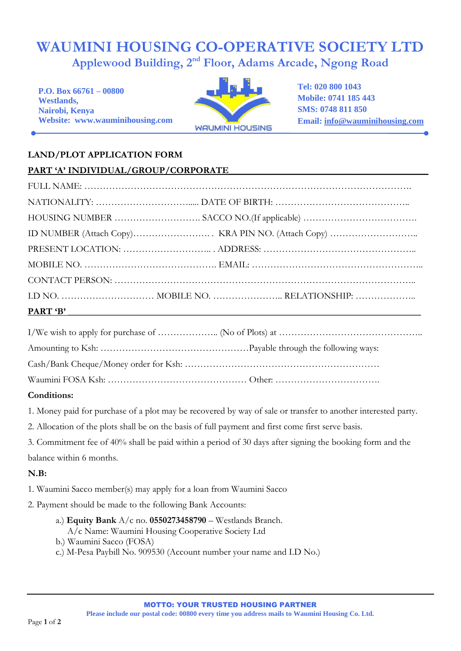## **WAUMINI HOUSING CO-OPERATIVE SOCIETY LTD Applewood Building, 2nd Floor, Adams Arcade, Ngong Road**

**P.O. Box 66761 – 00800 Westlands, Nairobi, Kenya Website: www.wauminihousing.com**



**Tel: 020 800 1043 Mobile: 0741 185 443 SMS: 0748 811 850 Email: [info@wauminihousing.com](mailto:info@wauminihousing.com)**

## **LAND/PLOT APPLICATION FORM**

**PART 'A' INDIVIDUAL/GROUP/CORPORATE\_\_\_\_\_\_\_\_\_\_\_\_\_\_\_\_\_\_\_\_\_\_\_\_\_\_\_\_\_\_\_\_\_\_\_\_\_\_\_\_\_\_\_**

| <u>FANI A INDIVIDUAL/UNUUF/CUNFUNATE</u> |  |                                                                                                                      |  |
|------------------------------------------|--|----------------------------------------------------------------------------------------------------------------------|--|
|                                          |  |                                                                                                                      |  |
|                                          |  |                                                                                                                      |  |
|                                          |  |                                                                                                                      |  |
|                                          |  |                                                                                                                      |  |
|                                          |  |                                                                                                                      |  |
|                                          |  |                                                                                                                      |  |
|                                          |  |                                                                                                                      |  |
|                                          |  |                                                                                                                      |  |
| <b>PART 'B'</b>                          |  | <u> 1989 - Johann Stoff, deutscher Stoffen und der Stoffen und der Stoffen und der Stoffen und der Stoffen und d</u> |  |
|                                          |  |                                                                                                                      |  |

## **Conditions:**

1. Money paid for purchase of a plot may be recovered by way of sale or transfer to another interested party.

2. Allocation of the plots shall be on the basis of full payment and first come first serve basis.

3. Commitment fee of 40% shall be paid within a period of 30 days after signing the booking form and the balance within 6 months.

## **N.B:**

1. Waumini Sacco member(s) may apply for a loan from Waumini Sacco

2. Payment should be made to the following Bank Accounts:

- a.) **Equity Bank** A/c no. **0550273458790** Westlands Branch. A/c Name: Waumini Housing Cooperative Society Ltd
- b.) Waumini Sacco (FOSA)
- c.) M-Pesa Paybill No. 909530 (Account number your name and I.D No.)